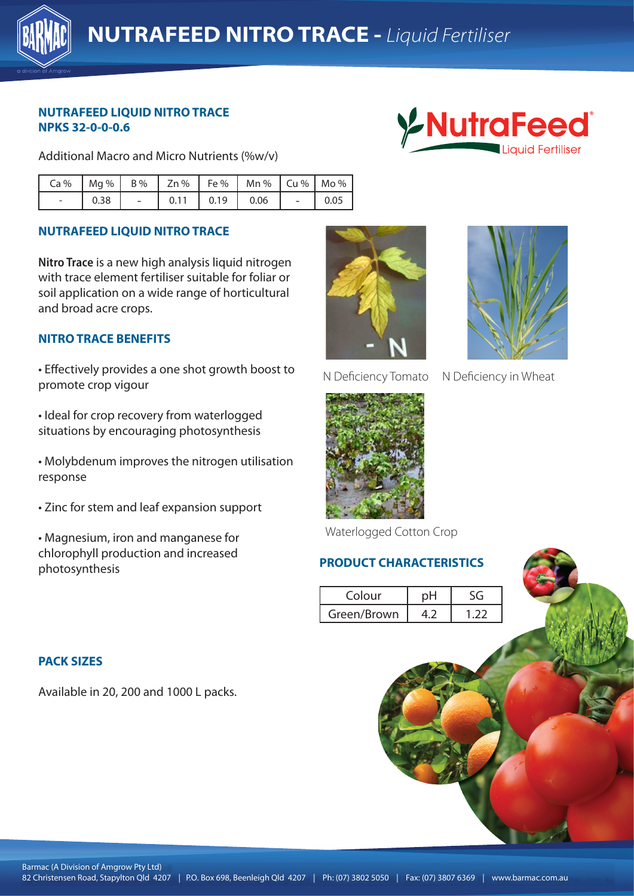

## **NUTRAFEED LIQUID NITRO TRACE NPKS 32-0-0-0.6**

Additional Macro and Micro Nutrients (%w/v)



|                          |      |      |      | $Ca\%$   Mg %   B %   Zn %   Fe %   Mn %   Cu %   Mo % |      |
|--------------------------|------|------|------|--------------------------------------------------------|------|
| $\overline{\phantom{a}}$ | 0.38 | 0.11 | 0.19 | 0.06                                                   | 0.05 |

## **NUTRAFEED LIQUID NITRO TRACE**

**Nitro Trace** is a new high analysis liquid nitrogen with trace element fertiliser suitable for foliar or soil application on a wide range of horticultural and broad acre crops.

# **NITRO TRACE BENEFITS**

• Effectively provides a one shot growth boost to promote crop vigour

• Ideal for crop recovery from waterlogged situations by encouraging photosynthesis **External Club 4207 in the entity of the 420**7 in the entity of the 420

• Molybdenum improves the nitrogen utilisation response

- Zinc for stem and leaf expansion support
- Magnesium, iron and manganese for chlorophyll production and increased photosynthesis





N Deficiency Tomato N Deficiency in Wheat



Waterlogged Cotton Crop

### **PRODUCT CHARACTERISTICS**

| Colour      |  |
|-------------|--|
| Green/Brown |  |

#### **PACK SIZES**

Available in 20, 200 and 1000 L packs.